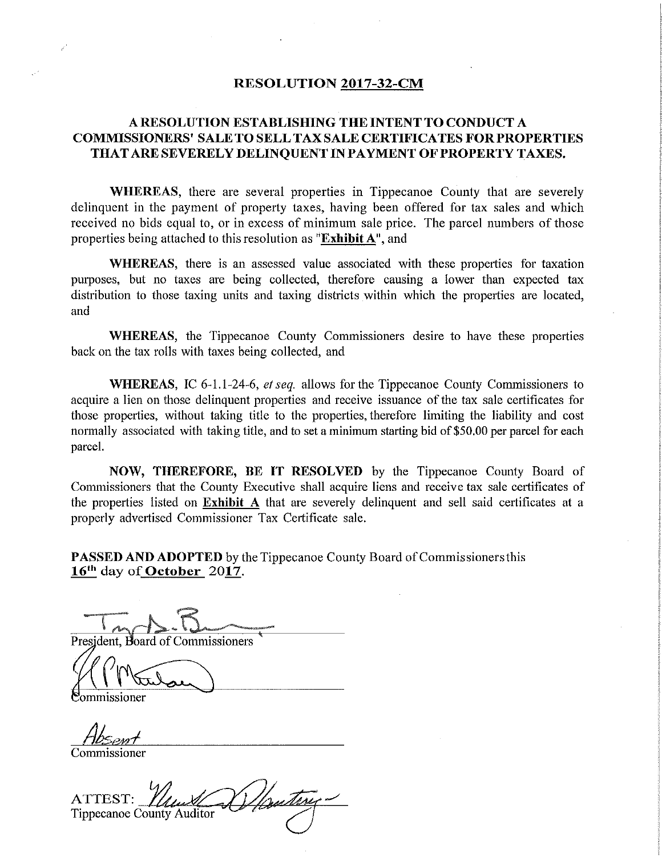## RESOLUTION 2017—32—CM

## A RESOLUTION ESTABLISHING THE INTENT TO CONDUCT A COMMISSIONERS' SALE TO SELL TAXSALE CERTIFICATES FORPROPERTIES THATARE SEVERELY DELINQUENT IN PAYMENT OF PROPERTY TAXES.

WHEREAS, there are several properties in Tippecanoe County that are severely delinquent in the payment of property taxes, having been offered for tax sales and which received no bids equal to, or in excess of minimum sale price. The parcel numbers of those properties being attached to this resolution as "Exhibit A", and

WHEREAS, there is an assessed value associated with these properties for taxation purposes, but no taxes are being collected, therefore causing <sup>a</sup> lower than expected tax distribution to those taxing units and taxing districts within which the properties are located, and

WHEREAS, the Tippecanoe County Commissioners desire to have these properties back on the tax rolls with taxes being collected, and

WHEREAS, IC 6-1.1-24-6, et seq. allows for the Tippecanoe County Commissioners to acquire <sup>a</sup> lien on those delinquent properties and receive issuance of the tax sale certificates for those properties, without taking title to the properties, therefore limiting the liability and cost normally associated with taking title, and to set a minimum starting bid of \$50.00 per parcel for each parcel.

NOW, THEREFORE, BE IT RESOLVED by the Tippecanoe County Board of Commissioners that the County Executive shall acquire liens and receive tax sale certificates of the properties listed on Exhibit A that are severely delinquent and sell said certificates at <sup>a</sup> properly advertised Commissioner Tax Certificate sale.

PASSED AND ADOPTED by the Tippecanoe County Board of Commissioners this  $16<sup>th</sup>$  day of **October** 2017.

"are -=-..-:-.... ...-.-.-. ..

President, Board of Commissioners

mmissioner

flosent

Commissioner

ATTEST:  $\mathcal{U}_{\mathcal{U}}$ Tippecanoe County Auditor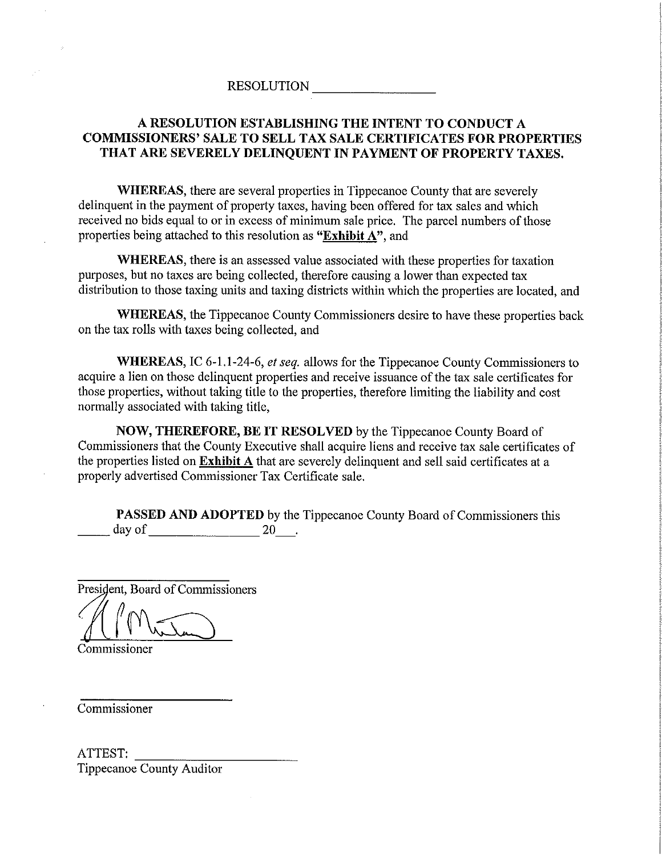## RESOLUTION

## A RESOLUTION ESTABLISHING THE INTENT TO CONDUCT A COMMISSIONERS" SALE TO SELL TAX SALE CERTIFICATES FOR PROPERTIES THAT ARE SEVERELY DELINQUENT IN PAYMENT OF PROPERTY TAXES.

WHEREAS, there are several properties in Tippecanoe County that are severely delinquent in the payment of property taxes, having been offered for tax sales and which received no bids equal to or in excess of minimum sale price. The parcel numbers of those properties being attached to this resolution as "Exhibit A", and

WHEREAS, there is an assessed value associated with these properties for taxation purposes, but no taxes are being collected, therefore causing <sup>a</sup> lower than expected tax distribution to those taxing units and taxing districts within which the properties are located, and

WHEREAS, the Tippecanoe County Commissioners desire to have these properties back on the tax rolls with taxes being collected, and

WHEREAS, IC 6-1.1-24-6, et seq. allows for the Tippecanoe County Commissioners to acquire a lien on those delinquent properties and receive issuance of the tax sale certificates for those properties, without taking title to the properties, therefore limiting the liability and cost normally associated with taking title,

NOW, THEREFORE, BE IT RESOLVED by the Tippecanoe County Board of Commissioners that the County Executive shall acquire liens and receive tax sale certificates of the properties listed on Exhibit <sup>A</sup> that are severely delinquent and sell said certificates at <sup>a</sup> properly advertised Commissioner Tax Certificate sale.

**PASSED AND ADOPTED** by the Tippecanoe County Board of Commissioners this day of 20 day of 20—.

President, Board of Commissioners

Edmond Commissioner

Commissioner

ATTEST: Tippecanoe County Auditor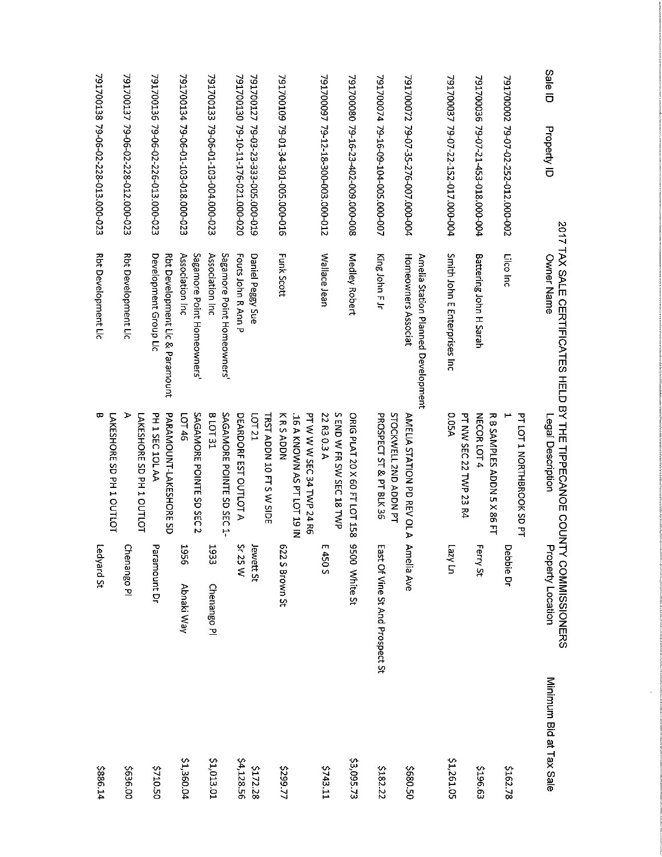| Sale ID<br>Property ID             | 2017 TAX SALE CERTIFICATES HELD BY THE TIPPECANOE COUNTY CONNISSIONERS<br>Owner Name | Legal Description                                  | <b>Property Location</b>        | Minimum Bid at Tax Sale |
|------------------------------------|--------------------------------------------------------------------------------------|----------------------------------------------------|---------------------------------|-------------------------|
|                                    |                                                                                      | PT LOT 1 NORTHBROOK SD PT                          |                                 |                         |
| 791700002 79-07-02-252-012.000-002 | Lilco Inc                                                                            |                                                    | Debbie Dr                       | \$162.78                |
| 791700036 79-07-21-453-018.000-004 | <b>Battering John H Sarah</b>                                                        | <b>NECOR LOT 4</b><br>R B SAMPLES ADDN 5 X 86 FT   | Ferry St                        | \$196.63                |
|                                    |                                                                                      | <b>PT NW SEC 22 TWP 23 R4</b>                      |                                 |                         |
| 791700037 79-07-22-152-017.000-004 | Smith John E Enterprises Inc                                                         | <b>05A</b>                                         | un Azen                         | \$1,261.05              |
|                                    | Amelia Station Planned Development                                                   |                                                    |                                 |                         |
| 791700072 79-07-35-276-007.000-004 | Homeowners Associat                                                                  | STOCKWELL 2ND ADDN PT<br>AMELIA STATION PD REVOL A | Annelia Ave                     | \$680.50                |
| 791700074 79-16-09-104-005.000-007 | King John F Jr                                                                       | PROSPECT ST & PT BLK 36                            | East Of Vine St And Prospect St | \$182.22                |
| 791700080 79-16-23-402-009.000-008 | Medley Robert                                                                        | ORIG PLAT 20 X 60 FT LOT 158                       | 9500 White St                   | \$3,095.73              |
|                                    |                                                                                      | S END W FR SW SEC 18 TWP                           |                                 |                         |
| 791700057 79-12-18-300-003.000-012 | Wallace Jean                                                                         | 22 R3 0.3 A                                        | m<br>450 S                      | 5743.11                 |
|                                    |                                                                                      | PT W W W SEC 34 TWP 24 R6                          |                                 |                         |
|                                    |                                                                                      | 16 A KNOWN AS PT LOT 19 IN                         |                                 |                         |
| 791700109 79-01-34-301-005.000-016 | <b>Funk Scott</b>                                                                    | KRSADDN                                            | 622 S Brown St                  | \$299.77                |
|                                    |                                                                                      | TRST ADDN 10 FT S W SIDE                           |                                 |                         |
| P91700127 79-03-23-333-005.000-019 | Daniel Peggy Sue                                                                     | <b>LCT21</b>                                       | Jewett St                       | \$172.28                |
| 791700130 79-10-11-176-021.000-020 | <b>Fouts John R Ann P</b>                                                            | DEARDORF EST OUTLOT A                              | <b>Sr 25 W</b>                  | 54,128.56               |
|                                    | Sagamore Point Homeowners'                                                           | SAGAMORE POINTE SD SEC 1-                          |                                 |                         |
| 791700133 79-06-01-103-004.000-023 | Association Inc                                                                      | <b>B LOT 31</b>                                    | 1933<br>Chenango Pl             | <b>1.013.01</b>         |
|                                    | Sagamore Point Homeowners'                                                           | SAGAMORE POINTE SD SEC<br>Z                        |                                 |                         |
| 791700134 79-06-01-103-018.000-023 | Association Inc                                                                      | LOT 46                                             | <b>956T</b><br>Abnaki Way       | \$1,360.04              |
|                                    | Rbt Development Lic & Paramount                                                      | PARANOCINI-LAKESHORE SD                            |                                 |                         |
| 791700136 79-06-02-226-013.000-023 | Development Group Lic                                                                | PH 1 SEC 10L AA                                    | Paramount Dr                    | 05010.50                |
|                                    |                                                                                      | LAKESHORE SD 1 1 OUTLOT                            |                                 |                         |
| 791700137 79-06-02-228-012.000-023 | Rbt Development Lic                                                                  |                                                    | Chenango Pl                     | \$636.00                |
|                                    |                                                                                      | LAKESHORE SD 1 1 OUTLOT                            |                                 |                         |
| 791700138 79-06-02-228-013.000-023 | <b>Rbt Development Lic</b>                                                           | ᡂ                                                  | Ledyard St                      | 5886.14                 |